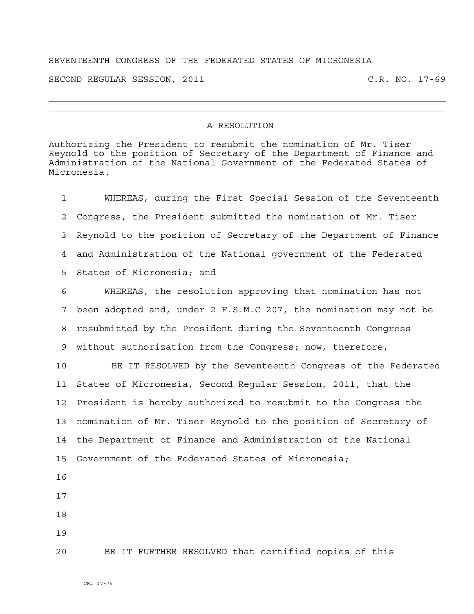## SEVENTEENTH CONGRESS OF THE FEDERATED STATES OF MICRONESIA

SECOND REGULAR SESSION, 2011 C.R. NO. 17-69

## A RESOLUTION

Authorizing the President to resubmit the nomination of Mr. Tiser Reynold to the position of Secretary of the Department of Finance and Administration of the National Government of the Federated States of Micronesia.

1 WHEREAS, during the First Special Session of the Seventeenth 2 Congress, the President submitted the nomination of Mr. Tiser 3 Reynold to the position of Secretary of the Department of Finance 4 and Administration of the National government of the Federated 5 States of Micronesia; and 6 WHEREAS, the resolution approving that nomination has not

7 been adopted and, under 2 F.S.M.C 207, the nomination may not be 8 resubmitted by the President during the Seventeenth Congress 9 without authorization from the Congress; now, therefore,

10 BE IT RESOLVED by the Seventeenth Congress of the Federated 11 States of Micronesia, Second Regular Session, 2011, that the 12 President is hereby authorized to resubmit to the Congress the 13 nomination of Mr. Tiser Reynold to the position of Secretary of 14 the Department of Finance and Administration of the National 15 Government of the Federated States of Micronesia;

16

17

18

19

20 BE IT FURTHER RESOLVED that certified copies of this